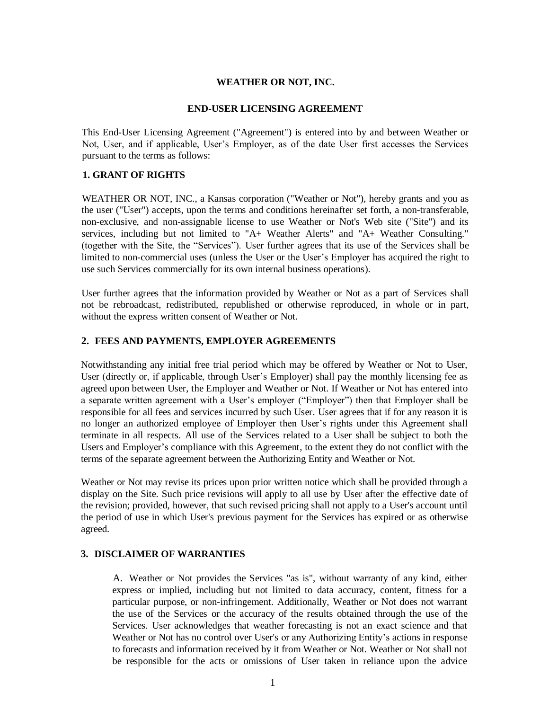### **WEATHER OR NOT, INC.**

#### **END-USER LICENSING AGREEMENT**

This End-User Licensing Agreement ("Agreement") is entered into by and between Weather or Not, User, and if applicable, User's Employer, as of the date User first accesses the Services pursuant to the terms as follows:

# **1. GRANT OF RIGHTS**

WEATHER OR NOT, INC., a Kansas corporation ("Weather or Not"), hereby grants and you as the user ("User") accepts, upon the terms and conditions hereinafter set forth, a non-transferable, non-exclusive, and non-assignable license to use Weather or Not's Web site ("Site") and its services, including but not limited to "A+ Weather Alerts" and "A+ Weather Consulting." (together with the Site, the "Services"). User further agrees that its use of the Services shall be limited to non-commercial uses (unless the User or the User's Employer has acquired the right to use such Services commercially for its own internal business operations).

User further agrees that the information provided by Weather or Not as a part of Services shall not be rebroadcast, redistributed, republished or otherwise reproduced, in whole or in part, without the express written consent of Weather or Not.

### **2. FEES AND PAYMENTS, EMPLOYER AGREEMENTS**

Notwithstanding any initial free trial period which may be offered by Weather or Not to User, User (directly or, if applicable, through User's Employer) shall pay the monthly licensing fee as agreed upon between User, the Employer and Weather or Not. If Weather or Not has entered into a separate written agreement with a User's employer ("Employer") then that Employer shall be responsible for all fees and services incurred by such User. User agrees that if for any reason it is no longer an authorized employee of Employer then User's rights under this Agreement shall terminate in all respects. All use of the Services related to a User shall be subject to both the Users and Employer's compliance with this Agreement, to the extent they do not conflict with the terms of the separate agreement between the Authorizing Entity and Weather or Not.

Weather or Not may revise its prices upon prior written notice which shall be provided through a display on the Site. Such price revisions will apply to all use by User after the effective date of the revision; provided, however, that such revised pricing shall not apply to a User's account until the period of use in which User's previous payment for the Services has expired or as otherwise agreed.

#### **3. DISCLAIMER OF WARRANTIES**

A. Weather or Not provides the Services "as is", without warranty of any kind, either express or implied, including but not limited to data accuracy, content, fitness for a particular purpose, or non-infringement. Additionally, Weather or Not does not warrant the use of the Services or the accuracy of the results obtained through the use of the Services. User acknowledges that weather forecasting is not an exact science and that Weather or Not has no control over User's or any Authorizing Entity's actions in response to forecasts and information received by it from Weather or Not. Weather or Not shall not be responsible for the acts or omissions of User taken in reliance upon the advice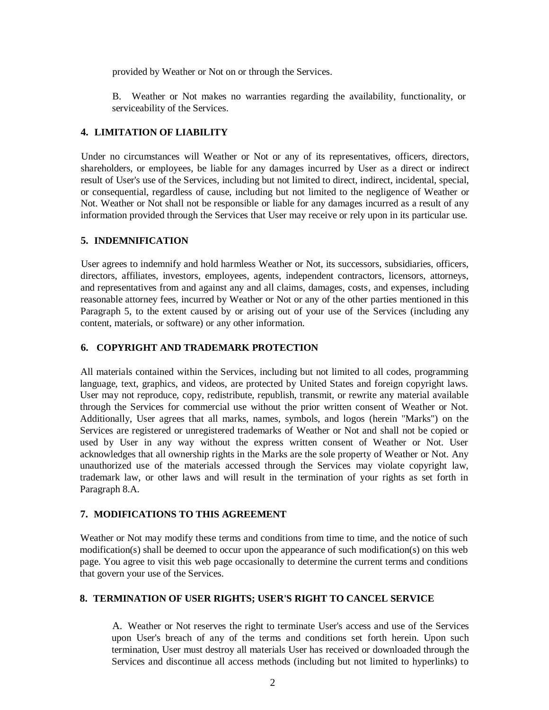provided by Weather or Not on or through the Services.

B. Weather or Not makes no warranties regarding the availability, functionality, or serviceability of the Services.

# **4. LIMITATION OF LIABILITY**

Under no circumstances will Weather or Not or any of its representatives, officers, directors, shareholders, or employees, be liable for any damages incurred by User as a direct or indirect result of User's use of the Services, including but not limited to direct, indirect, incidental, special, or consequential, regardless of cause, including but not limited to the negligence of Weather or Not. Weather or Not shall not be responsible or liable for any damages incurred as a result of any information provided through the Services that User may receive or rely upon in its particular use.

# **5. INDEMNIFICATION**

User agrees to indemnify and hold harmless Weather or Not, its successors, subsidiaries, officers, directors, affiliates, investors, employees, agents, independent contractors, licensors, attorneys, and representatives from and against any and all claims, damages, costs, and expenses, including reasonable attorney fees, incurred by Weather or Not or any of the other parties mentioned in this Paragraph 5, to the extent caused by or arising out of your use of the Services (including any content, materials, or software) or any other information.

# **6. COPYRIGHT AND TRADEMARK PROTECTION**

All materials contained within the Services, including but not limited to all codes, programming language, text, graphics, and videos, are protected by United States and foreign copyright laws. User may not reproduce, copy, redistribute, republish, transmit, or rewrite any material available through the Services for commercial use without the prior written consent of Weather or Not. Additionally, User agrees that all marks, names, symbols, and logos (herein "Marks") on the Services are registered or unregistered trademarks of Weather or Not and shall not be copied or used by User in any way without the express written consent of Weather or Not. User acknowledges that all ownership rights in the Marks are the sole property of Weather or Not. Any unauthorized use of the materials accessed through the Services may violate copyright law, trademark law, or other laws and will result in the termination of your rights as set forth in Paragraph 8.A.

# **7. MODIFICATIONS TO THIS AGREEMENT**

Weather or Not may modify these terms and conditions from time to time, and the notice of such modification(s) shall be deemed to occur upon the appearance of such modification(s) on this web page. You agree to visit this web page occasionally to determine the current terms and conditions that govern your use of the Services.

# **8. TERMINATION OF USER RIGHTS; USER'S RIGHT TO CANCEL SERVICE**

A. Weather or Not reserves the right to terminate User's access and use of the Services upon User's breach of any of the terms and conditions set forth herein. Upon such termination, User must destroy all materials User has received or downloaded through the Services and discontinue all access methods (including but not limited to hyperlinks) to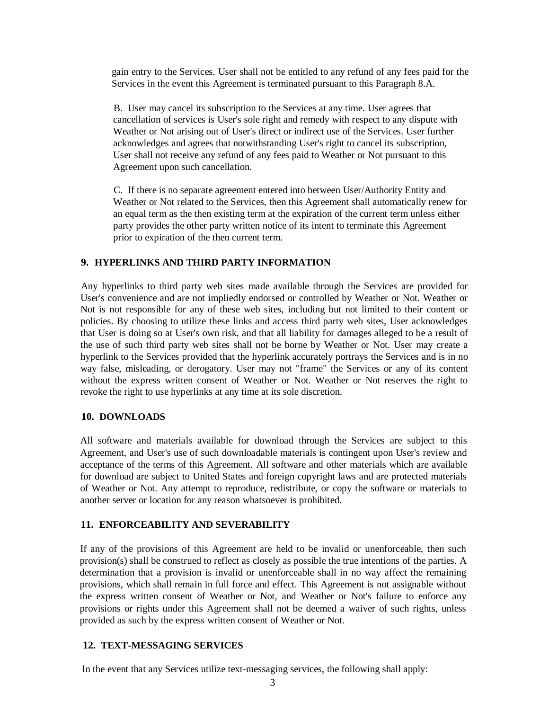gain entry to the Services. User shall not be entitled to any refund of any fees paid for the Services in the event this Agreement is terminated pursuant to this Paragraph 8.A.

B. User may cancel its subscription to the Services at any time. User agrees that cancellation of services is User's sole right and remedy with respect to any dispute with Weather or Not arising out of User's direct or indirect use of the Services. User further acknowledges and agrees that notwithstanding User's right to cancel its subscription, User shall not receive any refund of any fees paid to Weather or Not pursuant to this Agreement upon such cancellation.

C. If there is no separate agreement entered into between User/Authority Entity and Weather or Not related to the Services, then this Agreement shall automatically renew for an equal term as the then existing term at the expiration of the current term unless either party provides the other party written notice of its intent to terminate this Agreement prior to expiration of the then current term.

### **9. HYPERLINKS AND THIRD PARTY INFORMATION**

Any hyperlinks to third party web sites made available through the Services are provided for User's convenience and are not impliedly endorsed or controlled by Weather or Not. Weather or Not is not responsible for any of these web sites, including but not limited to their content or policies. By choosing to utilize these links and access third party web sites, User acknowledges that User is doing so at User's own risk, and that all liability for damages alleged to be a result of the use of such third party web sites shall not be borne by Weather or Not. User may create a hyperlink to the Services provided that the hyperlink accurately portrays the Services and is in no way false, misleading, or derogatory. User may not "frame" the Services or any of its content without the express written consent of Weather or Not. Weather or Not reserves the right to revoke the right to use hyperlinks at any time at its sole discretion.

#### **10. DOWNLOADS**

All software and materials available for download through the Services are subject to this Agreement, and User's use of such downloadable materials is contingent upon User's review and acceptance of the terms of this Agreement. All software and other materials which are available for download are subject to United States and foreign copyright laws and are protected materials of Weather or Not. Any attempt to reproduce, redistribute, or copy the software or materials to another server or location for any reason whatsoever is prohibited.

# **11. ENFORCEABILITY AND SEVERABILITY**

If any of the provisions of this Agreement are held to be invalid or unenforceable, then such provision(s) shall be construed to reflect as closely as possible the true intentions of the parties. A determination that a provision is invalid or unenforceable shall in no way affect the remaining provisions, which shall remain in full force and effect. This Agreement is not assignable without the express written consent of Weather or Not, and Weather or Not's failure to enforce any provisions or rights under this Agreement shall not be deemed a waiver of such rights, unless provided as such by the express written consent of Weather or Not.

# **12. TEXT-MESSAGING SERVICES**

In the event that any Services utilize text-messaging services, the following shall apply: